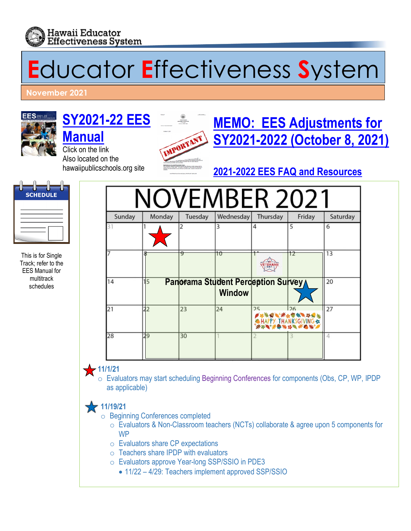

# **E**ducator **E**ffectiveness **S**ystem

**November 2021** 



## **[SY2021-22](http://www.hawaiipublicschools.org/DOE%20Forms/Educator%20Effectivness/EESManual.pdf) EES [Manual](http://www.hawaiipublicschools.org/DOE%20Forms/Educator%20Effectivness/EESManual.pdf)**

Click on the link Also located on the hawaiipublicschools.org site



# **[MEMO: EES Adjustments for](https://alala1.k12.hi.us/PUBLIC/DOEMEMOS.NSF/c43efd5c660087e10a2575cf0064fb92/e79bef91bac0a9c70a25876800668e3e/$FILE/41113.pdf) [SY2021-2022 \(October 8, 2021\)](https://alala1.k12.hi.us/PUBLIC/DOEMEMOS.NSF/c43efd5c660087e10a2575cf0064fb92/e79bef91bac0a9c70a25876800668e3e/$FILE/41113.pdf)**

**[2021-2022 EES FAQ and Resources](https://drive.google.com/drive/folders/1H8KaCLiHSlMp63cTnfqEYtqOarR5onfK)**



This is for Single Track; refer to the EES Manual for multitrack

|                                                     | Sunday | Monday         | Tuesday  | Wednesday                                           | Thursday | Friday                                                                                                                   | Saturday |
|-----------------------------------------------------|--------|----------------|----------|-----------------------------------------------------|----------|--------------------------------------------------------------------------------------------------------------------------|----------|
|                                                     |        |                |          |                                                     |          | 5                                                                                                                        | 6        |
| s is for Single<br>ck; refer to the<br>S Manual for |        |                | $\Theta$ | 10                                                  |          | 12                                                                                                                       | 13       |
| multitrack<br>schedules                             | 14     | 5              |          | Panorama Student Perception Survey<br><b>Window</b> |          |                                                                                                                          | 20       |
|                                                     | 21     | 2 <sub>2</sub> | 23       | 24                                                  | 25       | 126<br><i> <sub>`*</sub>\Q`**<sub>*</sub>@%`\\@*</i><br>@HAPPY_THANKSGIVING <i>&amp;</i><br>`** <b>*`*</b> @`*\$`\#`@`*` | 27       |
|                                                     | 28     | 29             | 30       |                                                     |          |                                                                                                                          | 4        |

• **11/1/21** o Evaluators may start scheduling Beginning Conferences for components (Obs, CP, WP, IPDP as applicable)

## • **11/19/21**

o Beginning Conferences completed

- o Evaluators & Non-Classroom teachers (NCTs) collaborate & agree upon 5 components for **W<sub>P</sub>**
- o Evaluators share CP expectations
- $\circ$  Teachers share IPDP with evaluators
- o Evaluators approve Year-long SSP/SSIO in PDE3
	- 11/22 4/29: Teachers implement approved SSP/SSIO